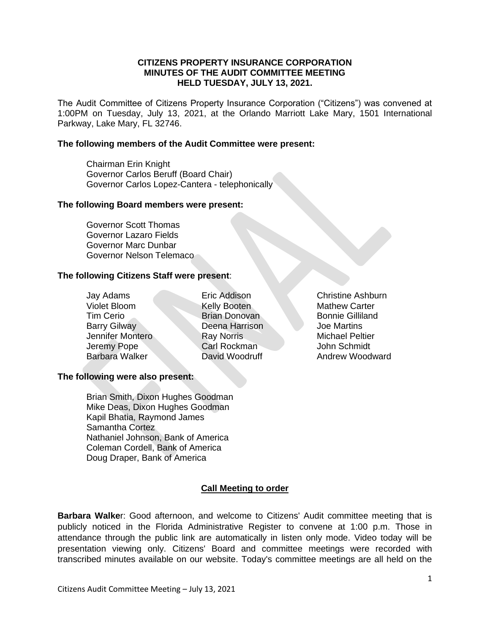# **CITIZENS PROPERTY INSURANCE CORPORATION MINUTES OF THE AUDIT COMMITTEE MEETING HELD TUESDAY, JULY 13, 2021.**

The Audit Committee of Citizens Property Insurance Corporation ("Citizens") was convened at 1:00PM on Tuesday, July 13, 2021, at the Orlando Marriott Lake Mary, 1501 International Parkway, Lake Mary, FL 32746.

# **The following members of the Audit Committee were present:**

Chairman Erin Knight Governor Carlos Beruff (Board Chair) Governor Carlos Lopez-Cantera - telephonically

#### **The following Board members were present:**

Governor Scott Thomas Governor Lazaro Fields Governor Marc Dunbar Governor Nelson Telemaco

# **The following Citizens Staff were present**:

Violet Bloom Kelly Booten Mathew Carter **Tim Cerio** Brian Donovan Bonnie Gilliland **Barry Gilway Communist Charles Deena Harrison Communist Charles Joe Martins** Jennifer Montero Ray Norris Michael Peltier Jeremy Pope Carl Rockman John Schmidt

Jay Adams Eric Addison Christine Ashburn

Barbara Walker **David Woodruff** Andrew Woodward

# **The following were also present:**

Brian Smith, Dixon Hughes Goodman Mike Deas, Dixon Hughes Goodman Kapil Bhatia, Raymond James Samantha Cortez Nathaniel Johnson, Bank of America Coleman Cordell, Bank of America Doug Draper, Bank of America

# **Call Meeting to order**

**Barbara Walke**r: Good afternoon, and welcome to Citizens' Audit committee meeting that is publicly noticed in the Florida Administrative Register to convene at 1:00 p.m. Those in attendance through the public link are automatically in listen only mode. Video today will be presentation viewing only. Citizens' Board and committee meetings were recorded with transcribed minutes available on our website. Today's committee meetings are all held on the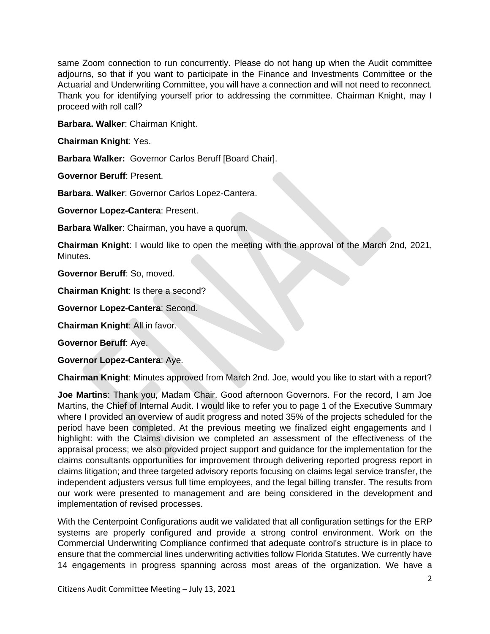same Zoom connection to run concurrently. Please do not hang up when the Audit committee adjourns, so that if you want to participate in the Finance and Investments Committee or the Actuarial and Underwriting Committee, you will have a connection and will not need to reconnect. Thank you for identifying yourself prior to addressing the committee. Chairman Knight, may I proceed with roll call?

**Barbara. Walker**: Chairman Knight.

**Chairman Knight**: Yes.

**Barbara Walker:** Governor Carlos Beruff [Board Chair].

**Governor Beruff**: Present.

**Barbara. Walker**: Governor Carlos Lopez-Cantera.

**Governor Lopez-Cantera**: Present.

**Barbara Walker**: Chairman, you have a quorum.

**Chairman Knight**: I would like to open the meeting with the approval of the March 2nd, 2021, Minutes.

**Governor Beruff**: So, moved.

**Chairman Knight**: Is there a second?

**Governor Lopez-Cantera**: Second.

**Chairman Knight**: All in favor.

**Governor Beruff**: Aye.

**Governor Lopez-Cantera**: Aye.

**Chairman Knight**: Minutes approved from March 2nd. Joe, would you like to start with a report?

**Joe Martins**: Thank you, Madam Chair. Good afternoon Governors. For the record, I am Joe Martins, the Chief of Internal Audit. I would like to refer you to page 1 of the Executive Summary where I provided an overview of audit progress and noted 35% of the projects scheduled for the period have been completed. At the previous meeting we finalized eight engagements and I highlight: with the Claims division we completed an assessment of the effectiveness of the appraisal process; we also provided project support and guidance for the implementation for the claims consultants opportunities for improvement through delivering reported progress report in claims litigation; and three targeted advisory reports focusing on claims legal service transfer, the independent adjusters versus full time employees, and the legal billing transfer. The results from our work were presented to management and are being considered in the development and implementation of revised processes.

With the Centerpoint Configurations audit we validated that all configuration settings for the ERP systems are properly configured and provide a strong control environment. Work on the Commercial Underwriting Compliance confirmed that adequate control's structure is in place to ensure that the commercial lines underwriting activities follow Florida Statutes. We currently have 14 engagements in progress spanning across most areas of the organization. We have a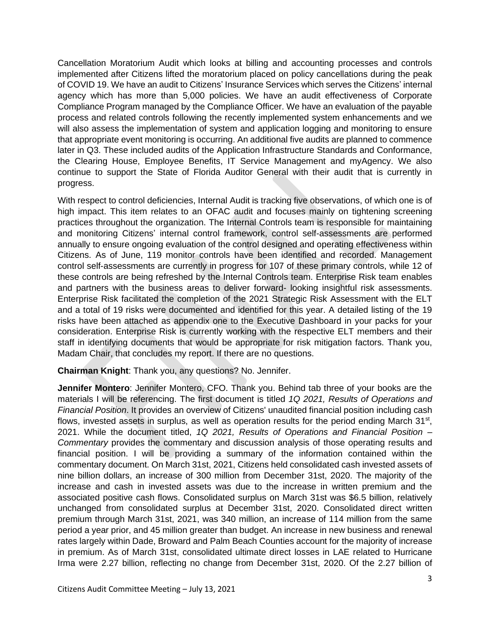Cancellation Moratorium Audit which looks at billing and accounting processes and controls implemented after Citizens lifted the moratorium placed on policy cancellations during the peak of COVID 19. We have an audit to Citizens' Insurance Services which serves the Citizens' internal agency which has more than 5,000 policies. We have an audit effectiveness of Corporate Compliance Program managed by the Compliance Officer. We have an evaluation of the payable process and related controls following the recently implemented system enhancements and we will also assess the implementation of system and application logging and monitoring to ensure that appropriate event monitoring is occurring. An additional five audits are planned to commence later in Q3. These included audits of the Application Infrastructure Standards and Conformance, the Clearing House, Employee Benefits, IT Service Management and myAgency. We also continue to support the State of Florida Auditor General with their audit that is currently in progress.

With respect to control deficiencies, Internal Audit is tracking five observations, of which one is of high impact. This item relates to an OFAC audit and focuses mainly on tightening screening practices throughout the organization. The Internal Controls team is responsible for maintaining and monitoring Citizens' internal control framework, control self-assessments are performed annually to ensure ongoing evaluation of the control designed and operating effectiveness within Citizens. As of June, 119 monitor controls have been identified and recorded. Management control self-assessments are currently in progress for 107 of these primary controls, while 12 of these controls are being refreshed by the Internal Controls team. Enterprise Risk team enables and partners with the business areas to deliver forward- looking insightful risk assessments. Enterprise Risk facilitated the completion of the 2021 Strategic Risk Assessment with the ELT and a total of 19 risks were documented and identified for this year. A detailed listing of the 19 risks have been attached as appendix one to the Executive Dashboard in your packs for your consideration. Enterprise Risk is currently working with the respective ELT members and their staff in identifying documents that would be appropriate for risk mitigation factors. Thank you, Madam Chair, that concludes my report. If there are no questions.

**Chairman Knight**: Thank you, any questions? No. Jennifer.

**Jennifer Montero**: Jennifer Montero, CFO. Thank you. Behind tab three of your books are the materials I will be referencing. The first document is titled *1Q 2021, Results of Operations and Financial Position*. It provides an overview of Citizens' unaudited financial position including cash flows, invested assets in surplus, as well as operation results for the period ending March 31<sup>st</sup>, 2021. While the document titled, *1Q 2021, Results of Operations and Financial Position – Commentary* provides the commentary and discussion analysis of those operating results and financial position. I will be providing a summary of the information contained within the commentary document. On March 31st, 2021, Citizens held consolidated cash invested assets of nine billion dollars, an increase of 300 million from December 31st, 2020. The majority of the increase and cash in invested assets was due to the increase in written premium and the associated positive cash flows. Consolidated surplus on March 31st was \$6.5 billion, relatively unchanged from consolidated surplus at December 31st, 2020. Consolidated direct written premium through March 31st, 2021, was 340 million, an increase of 114 million from the same period a year prior, and 45 million greater than budget. An increase in new business and renewal rates largely within Dade, Broward and Palm Beach Counties account for the majority of increase in premium. As of March 31st, consolidated ultimate direct losses in LAE related to Hurricane Irma were 2.27 billion, reflecting no change from December 31st, 2020. Of the 2.27 billion of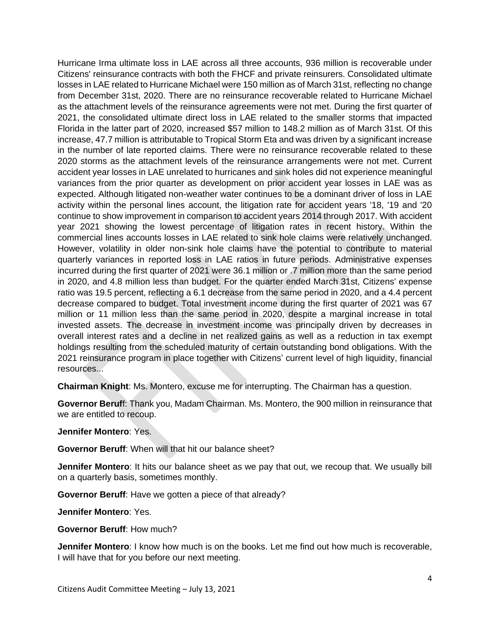Hurricane Irma ultimate loss in LAE across all three accounts, 936 million is recoverable under Citizens' reinsurance contracts with both the FHCF and private reinsurers. Consolidated ultimate losses in LAE related to Hurricane Michael were 150 million as of March 31st, reflecting no change from December 31st, 2020. There are no reinsurance recoverable related to Hurricane Michael as the attachment levels of the reinsurance agreements were not met. During the first quarter of 2021, the consolidated ultimate direct loss in LAE related to the smaller storms that impacted Florida in the latter part of 2020, increased \$57 million to 148.2 million as of March 31st. Of this increase, 47.7 million is attributable to Tropical Storm Eta and was driven by a significant increase in the number of late reported claims. There were no reinsurance recoverable related to these 2020 storms as the attachment levels of the reinsurance arrangements were not met. Current accident year losses in LAE unrelated to hurricanes and sink holes did not experience meaningful variances from the prior quarter as development on prior accident year losses in LAE was as expected. Although litigated non-weather water continues to be a dominant driver of loss in LAE activity within the personal lines account, the litigation rate for accident years '18, '19 and '20 continue to show improvement in comparison to accident years 2014 through 2017. With accident year 2021 showing the lowest percentage of litigation rates in recent history. Within the commercial lines accounts losses in LAE related to sink hole claims were relatively unchanged. However, volatility in older non-sink hole claims have the potential to contribute to material quarterly variances in reported loss in LAE ratios in future periods. Administrative expenses incurred during the first quarter of 2021 were 36.1 million or .7 million more than the same period in 2020, and 4.8 million less than budget. For the quarter ended March 31st, Citizens' expense ratio was 19.5 percent, reflecting a 6.1 decrease from the same period in 2020, and a 4.4 percent decrease compared to budget. Total investment income during the first quarter of 2021 was 67 million or 11 million less than the same period in 2020, despite a marginal increase in total invested assets. The decrease in investment income was principally driven by decreases in overall interest rates and a decline in net realized gains as well as a reduction in tax exempt holdings resulting from the scheduled maturity of certain outstanding bond obligations. With the 2021 reinsurance program in place together with Citizens' current level of high liquidity, financial resources...

**Chairman Knight**: Ms. Montero, excuse me for interrupting. The Chairman has a question.

**Governor Beruf**f: Thank you, Madam Chairman. Ms. Montero, the 900 million in reinsurance that we are entitled to recoup.

**Jennifer Montero**: Yes.

**Governor Beruff**: When will that hit our balance sheet?

**Jennifer Montero**: It hits our balance sheet as we pay that out, we recoup that. We usually bill on a quarterly basis, sometimes monthly.

**Governor Beruff**: Have we gotten a piece of that already?

**Jennifer Montero**: Yes.

**Governor Beruff**: How much?

**Jennifer Montero**: I know how much is on the books. Let me find out how much is recoverable. I will have that for you before our next meeting.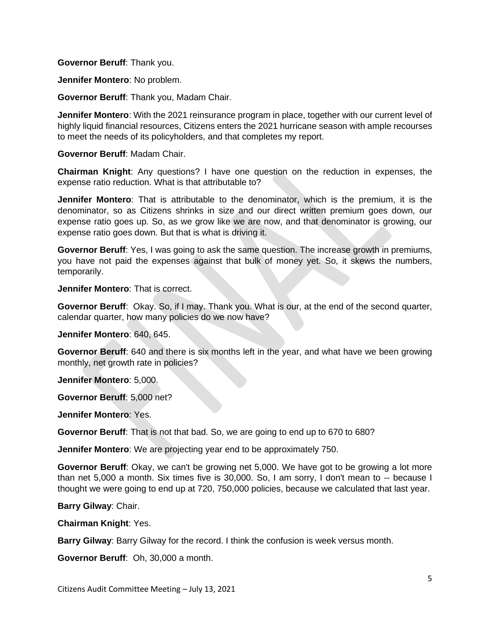**Governor Beruff**: Thank you.

**Jennifer Montero**: No problem.

**Governor Beruff**: Thank you, Madam Chair.

**Jennifer Montero**: With the 2021 reinsurance program in place, together with our current level of highly liquid financial resources, Citizens enters the 2021 hurricane season with ample recourses to meet the needs of its policyholders, and that completes my report.

**Governor Beruff**: Madam Chair.

**Chairman Knight**: Any questions? I have one question on the reduction in expenses, the expense ratio reduction. What is that attributable to?

**Jennifer Montero**: That is attributable to the denominator, which is the premium, it is the denominator, so as Citizens shrinks in size and our direct written premium goes down, our expense ratio goes up. So, as we grow like we are now, and that denominator is growing, our expense ratio goes down. But that is what is driving it.

**Governor Beruff**: Yes, I was going to ask the same question. The increase growth in premiums, you have not paid the expenses against that bulk of money yet. So, it skews the numbers, temporarily.

**Jennifer Montero**: That is correct.

**Governor Beruff**: Okay. So, if I may. Thank you. What is our, at the end of the second quarter, calendar quarter, how many policies do we now have?

**Jennifer Montero**: 640, 645.

**Governor Beruff**: 640 and there is six months left in the year, and what have we been growing monthly, net growth rate in policies?

**Jennifer Montero**: 5,000.

**Governor Beruff**: 5,000 net?

**Jennifer Montero**: Yes.

**Governor Beruff**: That is not that bad. So, we are going to end up to 670 to 680?

**Jennifer Montero**: We are projecting year end to be approximately 750.

**Governor Beruff**: Okay, we can't be growing net 5,000. We have got to be growing a lot more than net 5,000 a month. Six times five is 30,000. So, I am sorry, I don't mean to -- because I thought we were going to end up at 720, 750,000 policies, because we calculated that last year.

**Barry Gilway**: Chair.

**Chairman Knight**: Yes.

**Barry Gilway**: Barry Gilway for the record. I think the confusion is week versus month.

**Governor Beruff**: Oh, 30,000 a month.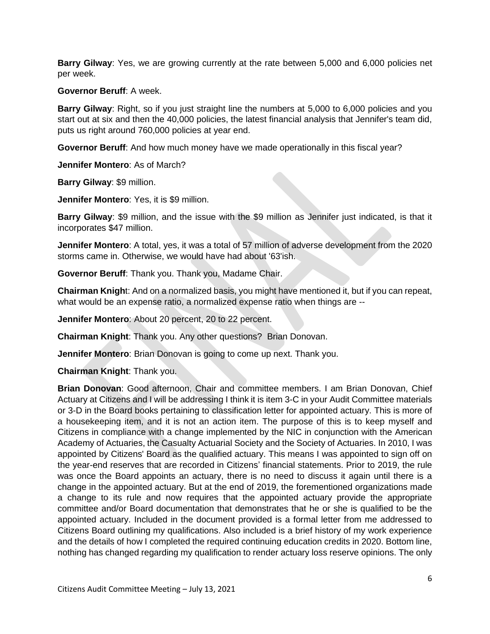**Barry Gilway**: Yes, we are growing currently at the rate between 5,000 and 6,000 policies net per week.

# **Governor Beruff**: A week.

**Barry Gilway**: Right, so if you just straight line the numbers at 5,000 to 6,000 policies and you start out at six and then the 40,000 policies, the latest financial analysis that Jennifer's team did, puts us right around 760,000 policies at year end.

**Governor Beruff**: And how much money have we made operationally in this fiscal year?

**Jennifer Montero**: As of March?

**Barry Gilway**: \$9 million.

**Jennifer Montero**: Yes, it is \$9 million.

**Barry Gilway**: \$9 million, and the issue with the \$9 million as Jennifer just indicated, is that it incorporates \$47 million.

**Jennifer Montero**: A total, yes, it was a total of 57 million of adverse development from the 2020 storms came in. Otherwise, we would have had about '63'ish.

**Governor Beruff**: Thank you. Thank you, Madame Chair.

**Chairman Knigh**t: And on a normalized basis, you might have mentioned it, but if you can repeat, what would be an expense ratio, a normalized expense ratio when things are --

**Jennifer Montero**: About 20 percent, 20 to 22 percent.

**Chairman Knight**: Thank you. Any other questions? Brian Donovan.

**Jennifer Montero**: Brian Donovan is going to come up next. Thank you.

**Chairman Knight**: Thank you.

**Brian Donovan**: Good afternoon, Chair and committee members. I am Brian Donovan, Chief Actuary at Citizens and I will be addressing I think it is item 3-C in your Audit Committee materials or 3-D in the Board books pertaining to classification letter for appointed actuary. This is more of a housekeeping item, and it is not an action item. The purpose of this is to keep myself and Citizens in compliance with a change implemented by the NIC in conjunction with the American Academy of Actuaries, the Casualty Actuarial Society and the Society of Actuaries. In 2010, I was appointed by Citizens' Board as the qualified actuary. This means I was appointed to sign off on the year-end reserves that are recorded in Citizens' financial statements. Prior to 2019, the rule was once the Board appoints an actuary, there is no need to discuss it again until there is a change in the appointed actuary. But at the end of 2019, the forementioned organizations made a change to its rule and now requires that the appointed actuary provide the appropriate committee and/or Board documentation that demonstrates that he or she is qualified to be the appointed actuary. Included in the document provided is a formal letter from me addressed to Citizens Board outlining my qualifications. Also included is a brief history of my work experience and the details of how I completed the required continuing education credits in 2020. Bottom line, nothing has changed regarding my qualification to render actuary loss reserve opinions. The only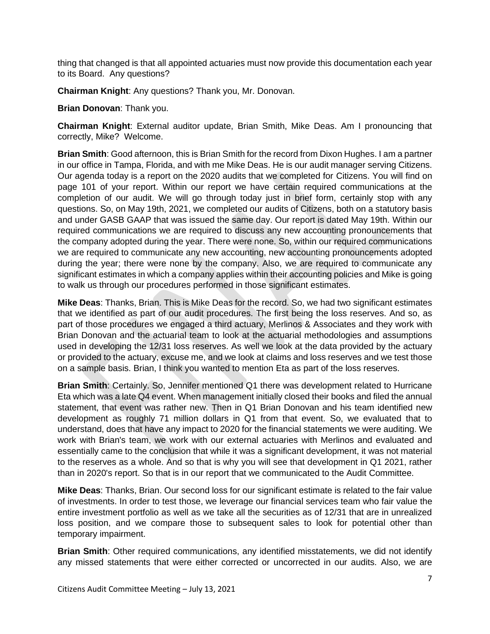thing that changed is that all appointed actuaries must now provide this documentation each year to its Board. Any questions?

**Chairman Knight**: Any questions? Thank you, Mr. Donovan.

**Brian Donovan**: Thank you.

**Chairman Knight**: External auditor update, Brian Smith, Mike Deas. Am I pronouncing that correctly, Mike? Welcome.

**Brian Smith**: Good afternoon, this is Brian Smith for the record from Dixon Hughes. I am a partner in our office in Tampa, Florida, and with me Mike Deas. He is our audit manager serving Citizens. Our agenda today is a report on the 2020 audits that we completed for Citizens. You will find on page 101 of your report. Within our report we have certain required communications at the completion of our audit. We will go through today just in brief form, certainly stop with any questions. So, on May 19th, 2021, we completed our audits of Citizens, both on a statutory basis and under GASB GAAP that was issued the same day. Our report is dated May 19th. Within our required communications we are required to discuss any new accounting pronouncements that the company adopted during the year. There were none. So, within our required communications we are required to communicate any new accounting, new accounting pronouncements adopted during the year; there were none by the company. Also, we are required to communicate any significant estimates in which a company applies within their accounting policies and Mike is going to walk us through our procedures performed in those significant estimates.

**Mike Deas**: Thanks, Brian. This is Mike Deas for the record. So, we had two significant estimates that we identified as part of our audit procedures. The first being the loss reserves. And so, as part of those procedures we engaged a third actuary, Merlinos & Associates and they work with Brian Donovan and the actuarial team to look at the actuarial methodologies and assumptions used in developing the 12/31 loss reserves. As well we look at the data provided by the actuary or provided to the actuary, excuse me, and we look at claims and loss reserves and we test those on a sample basis. Brian, I think you wanted to mention Eta as part of the loss reserves.

**Brian Smith**: Certainly. So, Jennifer mentioned Q1 there was development related to Hurricane Eta which was a late Q4 event. When management initially closed their books and filed the annual statement, that event was rather new. Then in Q1 Brian Donovan and his team identified new development as roughly 71 million dollars in Q1 from that event. So, we evaluated that to understand, does that have any impact to 2020 for the financial statements we were auditing. We work with Brian's team, we work with our external actuaries with Merlinos and evaluated and essentially came to the conclusion that while it was a significant development, it was not material to the reserves as a whole. And so that is why you will see that development in Q1 2021, rather than in 2020's report. So that is in our report that we communicated to the Audit Committee.

**Mike Deas**: Thanks, Brian. Our second loss for our significant estimate is related to the fair value of investments. In order to test those, we leverage our financial services team who fair value the entire investment portfolio as well as we take all the securities as of 12/31 that are in unrealized loss position, and we compare those to subsequent sales to look for potential other than temporary impairment.

**Brian Smith**: Other required communications, any identified misstatements, we did not identify any missed statements that were either corrected or uncorrected in our audits. Also, we are